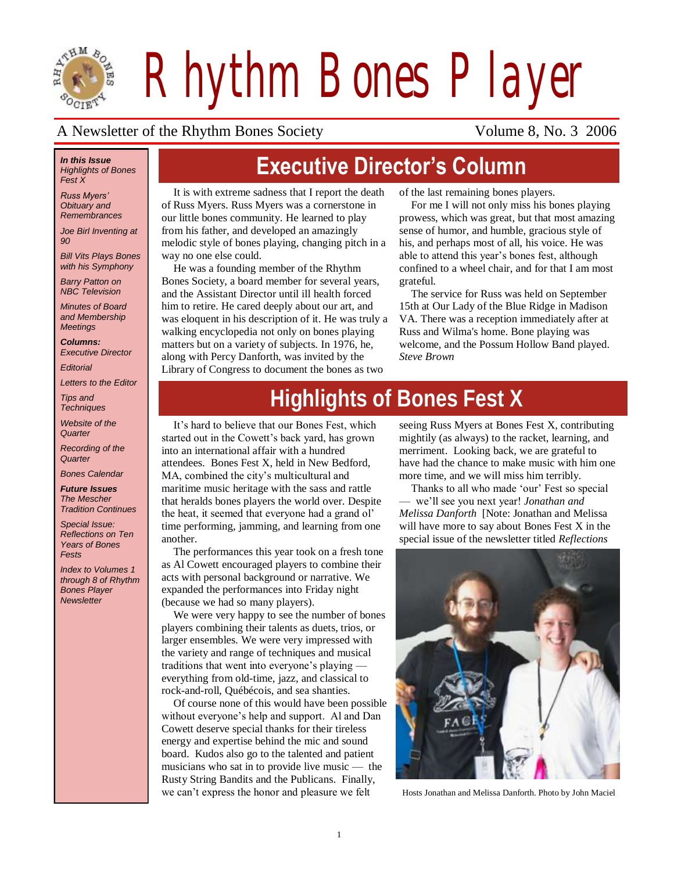

*Rhythm Bones Player*

#### A Newsletter of the Rhythm Bones Society Volume 8, No. 3 2006

#### *In this Issue Highlights of Bones Fest X*

*Russ Myers' Obituary and Remembrances*

*Joe Birl Inventing at 90*

*Bill Vits Plays Bones with his Symphony*

*Barry Patton on NBC Television*

*Minutes of Board and Membership Meetings*

*Columns: Executive Director*

*Editorial*

*Letters to the Editor*

*Tips and Techniques*

*Website of the Quarter*

*Recording of the Quarter*

*Bones Calendar*

*Future Issues The Mescher* 

*Tradition Continues* 

*Special Issue: Reflections on Ten Years of Bones Fests*

*Index to Volumes 1 through 8 of Rhythm Bones Player Newsletter*

# **Executive Director's Column**

It is with extreme sadness that I report the death of Russ Myers. Russ Myers was a cornerstone in our little bones community. He learned to play from his father, and developed an amazingly melodic style of bones playing, changing pitch in a way no one else could.

He was a founding member of the Rhythm Bones Society, a board member for several years, and the Assistant Director until ill health forced him to retire. He cared deeply about our art, and was eloquent in his description of it. He was truly a walking encyclopedia not only on bones playing matters but on a variety of subjects. In 1976, he, along with Percy Danforth, was invited by the Library of Congress to document the bones as two

of the last remaining bones players.

For me I will not only miss his bones playing prowess, which was great, but that most amazing sense of humor, and humble, gracious style of his, and perhaps most of all, his voice. He was able to attend this year's bones fest, although confined to a wheel chair, and for that I am most grateful.

The service for Russ was held on September 15th at Our Lady of the Blue Ridge in Madison VA. There was a reception immediately after at Russ and Wilma's home. Bone playing was welcome, and the Possum Hollow Band played. *Steve Brown*

# **Highlights of Bones Fest X**

It's hard to believe that our Bones Fest, which started out in the Cowett's back yard, has grown into an international affair with a hundred attendees. Bones Fest X, held in New Bedford, MA, combined the city's multicultural and maritime music heritage with the sass and rattle that heralds bones players the world over. Despite the heat, it seemed that everyone had a grand ol' time performing, jamming, and learning from one another.

The performances this year took on a fresh tone as Al Cowett encouraged players to combine their acts with personal background or narrative. We expanded the performances into Friday night (because we had so many players).

We were very happy to see the number of bones players combining their talents as duets, trios, or larger ensembles. We were very impressed with the variety and range of techniques and musical traditions that went into everyone's playing –– everything from old-time, jazz, and classical to rock-and-roll, Québécois, and sea shanties.

Of course none of this would have been possible without everyone's help and support. Al and Dan Cowett deserve special thanks for their tireless energy and expertise behind the mic and sound board. Kudos also go to the talented and patient musicians who sat in to provide live music –– the Rusty String Bandits and the Publicans. Finally, we can't express the honor and pleasure we felt Hosts Jonathan and Melissa Danforth. Photo by John Maciel

seeing Russ Myers at Bones Fest X, contributing mightily (as always) to the racket, learning, and merriment. Looking back, we are grateful to have had the chance to make music with him one more time, and we will miss him terribly.

Thanks to all who made 'our' Fest so special –– we'll see you next year! *Jonathan and Melissa Danforth* [Note: Jonathan and Melissa will have more to say about Bones Fest X in the special issue of the newsletter titled *Reflections* 

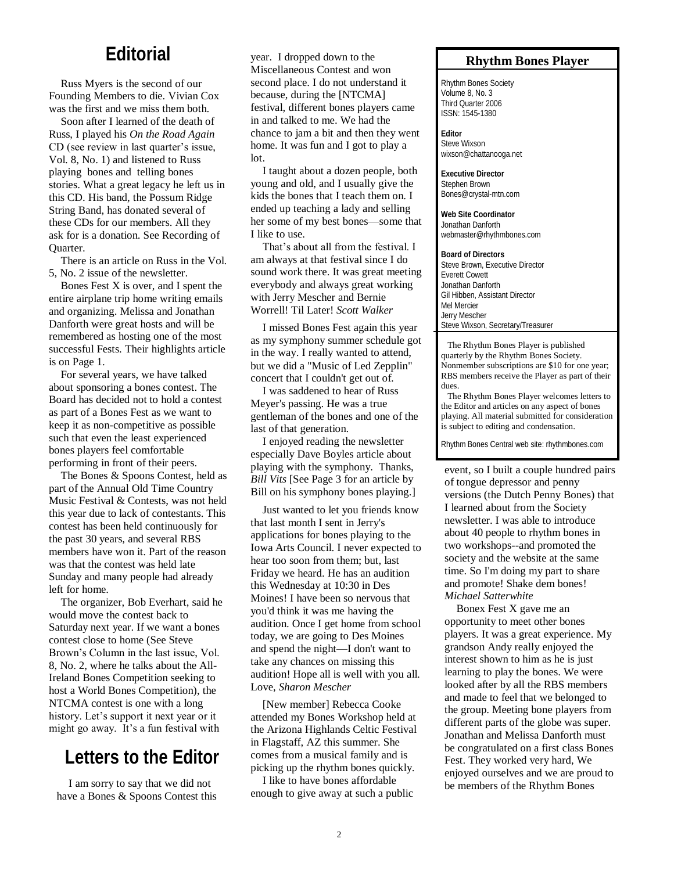#### **Editorial**

Russ Myers is the second of our Founding Members to die. Vivian Cox was the first and we miss them both.

Soon after I learned of the death of Russ, I played his *On the Road Again* CD (see review in last quarter's issue, Vol. 8, No. 1) and listened to Russ playing bones and telling bones stories. What a great legacy he left us in this CD. His band, the Possum Ridge String Band, has donated several of these CDs for our members. All they ask for is a donation. See Recording of Quarter.

There is an article on Russ in the Vol. 5, No. 2 issue of the newsletter.

Bones Fest X is over, and I spent the entire airplane trip home writing emails and organizing. Melissa and Jonathan Danforth were great hosts and will be remembered as hosting one of the most successful Fests. Their highlights article is on Page 1.

For several years, we have talked about sponsoring a bones contest. The Board has decided not to hold a contest as part of a Bones Fest as we want to keep it as non-competitive as possible such that even the least experienced bones players feel comfortable performing in front of their peers.

The Bones & Spoons Contest, held as part of the Annual Old Time Country Music Festival & Contests, was not held this year due to lack of contestants. This contest has been held continuously for the past 30 years, and several RBS members have won it. Part of the reason was that the contest was held late Sunday and many people had already left for home.

The organizer, Bob Everhart, said he would move the contest back to Saturday next year. If we want a bones contest close to home (See Steve Brown's Column in the last issue, Vol. 8, No. 2, where he talks about the All-Ireland Bones Competition seeking to host a World Bones Competition), the NTCMA contest is one with a long history. Let's support it next year or it might go away. It's a fun festival with

## **Letters to the Editor**

I am sorry to say that we did not have a Bones & Spoons Contest this

year. I dropped down to the Miscellaneous Contest and won second place. I do not understand it because, during the [NTCMA] festival, different bones players came in and talked to me. We had the chance to jam a bit and then they went home. It was fun and I got to play a lot.

I taught about a dozen people, both young and old, and I usually give the kids the bones that I teach them on. I ended up teaching a lady and selling her some of my best bones—some that I like to use.

That's about all from the festival. I am always at that festival since I do sound work there. It was great meeting everybody and always great working with Jerry Mescher and Bernie Worrell! Til Later! *Scott Walker* 

I missed Bones Fest again this year as my symphony summer schedule got in the way. I really wanted to attend, but we did a "Music of Led Zepplin" concert that I couldn't get out of.

I was saddened to hear of Russ Meyer's passing. He was a true gentleman of the bones and one of the last of that generation.

I enjoyed reading the newsletter especially Dave Boyles article about playing with the symphony. Thanks, *Bill Vits* [See Page 3 for an article by Bill on his symphony bones playing.]

Just wanted to let you friends know that last month I sent in Jerry's applications for bones playing to the Iowa Arts Council. I never expected to hear too soon from them; but, last Friday we heard. He has an audition this Wednesday at 10:30 in Des Moines! I have been so nervous that you'd think it was me having the audition. Once I get home from school today, we are going to Des Moines and spend the night—I don't want to take any chances on missing this audition! Hope all is well with you all. Love, *Sharon Mescher*

[New member] Rebecca Cooke attended my Bones Workshop held at the Arizona Highlands Celtic Festival in Flagstaff, AZ this summer. She comes from a musical family and is picking up the rhythm bones quickly.

I like to have bones affordable enough to give away at such a public

#### **Rhythm Bones Player**

Rhythm Bones Society Volume 8, No. 3 Third Quarter 2006 ISSN: 1545-1380

**Editor** Steve Wixson wixson@chattanooga.net

**Executive Director** Stephen Brown Bones@crystal-mtn.com

**Web Site Coordinator** Jonathan Danforth webmaster@rhythmbones.com

**Board of Directors** Steve Brown, Executive Director Everett Cowett Jonathan Danforth Gil Hibben, Assistant Director Mel Mercier Jerry Mescher Steve Wixson, Secretary/Treasurer

 The Rhythm Bones Player is published quarterly by the Rhythm Bones Society. Nonmember subscriptions are \$10 for one year; RBS members receive the Player as part of their dues The Rhythm Bones Player welcomes letters to

the Editor and articles on any aspect of bones playing. All material submitted for consideration is subject to editing and condensation.

Rhythm Bones Central web site: rhythmbones.com

event, so I built a couple hundred pairs of tongue depressor and penny versions (the Dutch Penny Bones) that I learned about from the Society newsletter. I was able to introduce about 40 people to rhythm bones in two workshops--and promoted the society and the website at the same time. So I'm doing my part to share and promote! Shake dem bones! *Michael Satterwhite*

Bonex Fest X gave me an opportunity to meet other bones players. It was a great experience. My grandson Andy really enjoyed the interest shown to him as he is just learning to play the bones. We were looked after by all the RBS members and made to feel that we belonged to the group. Meeting bone players from different parts of the globe was super. Jonathan and Melissa Danforth must be congratulated on a first class Bones Fest. They worked very hard, We enjoyed ourselves and we are proud to be members of the Rhythm Bones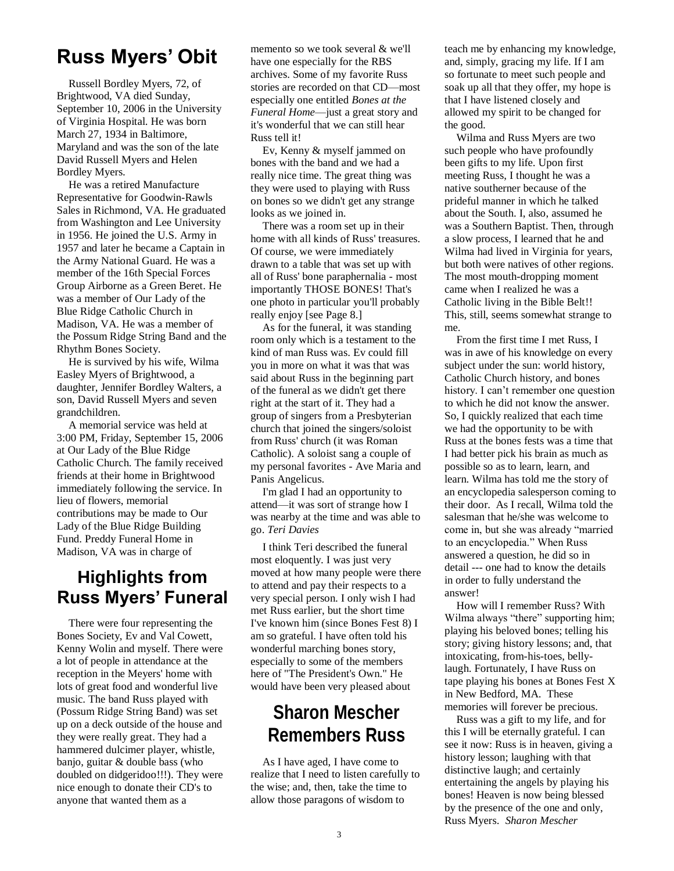## **Russ Myers' Obit**

Russell Bordley Myers, 72, of Brightwood, VA died Sunday, September 10, 2006 in the University of Virginia Hospital. He was born March 27, 1934 in Baltimore, Maryland and was the son of the late David Russell Myers and Helen Bordley Myers.

He was a retired Manufacture Representative for Goodwin-Rawls Sales in Richmond, VA. He graduated from Washington and Lee University in 1956. He joined the U.S. Army in 1957 and later he became a Captain in the Army National Guard. He was a member of the 16th Special Forces Group Airborne as a Green Beret. He was a member of Our Lady of the Blue Ridge Catholic Church in Madison, VA. He was a member of the Possum Ridge String Band and the Rhythm Bones Society.

He is survived by his wife, Wilma Easley Myers of Brightwood, a daughter, Jennifer Bordley Walters, a son, David Russell Myers and seven grandchildren.

A memorial service was held at 3:00 PM, Friday, September 15, 2006 at Our Lady of the Blue Ridge Catholic Church. The family received friends at their home in Brightwood immediately following the service. In lieu of flowers, memorial contributions may be made to Our Lady of the Blue Ridge Building Fund. Preddy Funeral Home in Madison, VA was in charge of

#### **Highlights from Russ Myers' Funeral**

There were four representing the Bones Society, Ev and Val Cowett, Kenny Wolin and myself. There were a lot of people in attendance at the reception in the Meyers' home with lots of great food and wonderful live music. The band Russ played with (Possum Ridge String Band) was set up on a deck outside of the house and they were really great. They had a hammered dulcimer player, whistle, banjo, guitar & double bass (who doubled on didgeridoo!!!). They were nice enough to donate their CD's to anyone that wanted them as a

memento so we took several & we'll have one especially for the RBS archives. Some of my favorite Russ stories are recorded on that CD—most especially one entitled *Bones at the Funeral Home*—just a great story and it's wonderful that we can still hear Russ tell it!

Ev, Kenny & myself jammed on bones with the band and we had a really nice time. The great thing was they were used to playing with Russ on bones so we didn't get any strange looks as we joined in.

There was a room set up in their home with all kinds of Russ' treasures. Of course, we were immediately drawn to a table that was set up with all of Russ' bone paraphernalia - most importantly THOSE BONES! That's one photo in particular you'll probably really enjoy [see Page 8.]

As for the funeral, it was standing room only which is a testament to the kind of man Russ was. Ev could fill you in more on what it was that was said about Russ in the beginning part of the funeral as we didn't get there right at the start of it. They had a group of singers from a Presbyterian church that joined the singers/soloist from Russ' church (it was Roman Catholic). A soloist sang a couple of my personal favorites - Ave Maria and Panis Angelicus.

I'm glad I had an opportunity to attend—it was sort of strange how I was nearby at the time and was able to go. *Teri Davies*

I think Teri described the funeral most eloquently. I was just very moved at how many people were there to attend and pay their respects to a very special person. I only wish I had met Russ earlier, but the short time I've known him (since Bones Fest 8) I am so grateful. I have often told his wonderful marching bones story, especially to some of the members here of "The President's Own." He would have been very pleased about

#### **Sharon Mescher Remembers Russ**

As I have aged, I have come to realize that I need to listen carefully to the wise; and, then, take the time to allow those paragons of wisdom to

teach me by enhancing my knowledge, and, simply, gracing my life. If I am so fortunate to meet such people and soak up all that they offer, my hope is that I have listened closely and allowed my spirit to be changed for the good.

Wilma and Russ Myers are two such people who have profoundly been gifts to my life. Upon first meeting Russ, I thought he was a native southerner because of the prideful manner in which he talked about the South. I, also, assumed he was a Southern Baptist. Then, through a slow process, I learned that he and Wilma had lived in Virginia for years, but both were natives of other regions. The most mouth-dropping moment came when I realized he was a Catholic living in the Bible Belt!! This, still, seems somewhat strange to me.

From the first time I met Russ, I was in awe of his knowledge on every subject under the sun: world history, Catholic Church history, and bones history. I can't remember one question to which he did not know the answer. So, I quickly realized that each time we had the opportunity to be with Russ at the bones fests was a time that I had better pick his brain as much as possible so as to learn, learn, and learn. Wilma has told me the story of an encyclopedia salesperson coming to their door. As I recall, Wilma told the salesman that he/she was welcome to come in, but she was already "married to an encyclopedia." When Russ answered a question, he did so in detail --- one had to know the details in order to fully understand the answer!

How will I remember Russ? With Wilma always "there" supporting him; playing his beloved bones; telling his story; giving history lessons; and, that intoxicating, from-his-toes, bellylaugh. Fortunately, I have Russ on tape playing his bones at Bones Fest X in New Bedford, MA. These memories will forever be precious.

Russ was a gift to my life, and for this I will be eternally grateful. I can see it now: Russ is in heaven, giving a history lesson; laughing with that distinctive laugh; and certainly entertaining the angels by playing his bones! Heaven is now being blessed by the presence of the one and only, Russ Myers. *Sharon Mescher*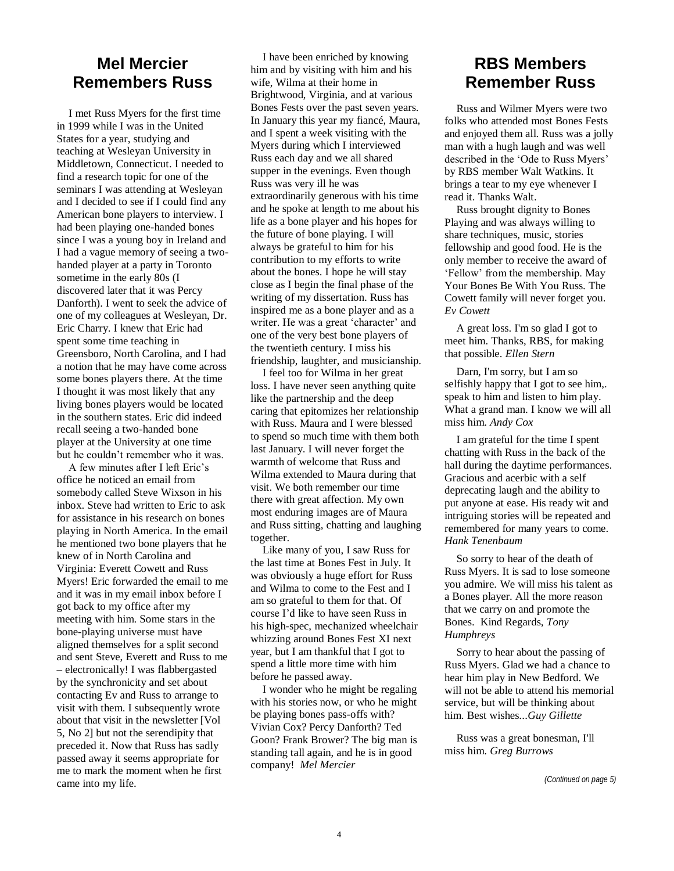#### **Mel Mercier Remembers Russ**

I met Russ Myers for the first time in 1999 while I was in the United States for a year, studying and teaching at Wesleyan University in Middletown, Connecticut. I needed to find a research topic for one of the seminars I was attending at Wesleyan and I decided to see if I could find any American bone players to interview. I had been playing one-handed bones since I was a young boy in Ireland and I had a vague memory of seeing a twohanded player at a party in Toronto sometime in the early 80s (I discovered later that it was Percy Danforth). I went to seek the advice of one of my colleagues at Wesleyan, Dr. Eric Charry. I knew that Eric had spent some time teaching in Greensboro, North Carolina, and I had a notion that he may have come across some bones players there. At the time I thought it was most likely that any living bones players would be located in the southern states. Eric did indeed recall seeing a two-handed bone player at the University at one time but he couldn't remember who it was.

A few minutes after I left Eric's office he noticed an email from somebody called Steve Wixson in his inbox. Steve had written to Eric to ask for assistance in his research on bones playing in North America. In the email he mentioned two bone players that he knew of in North Carolina and Virginia: Everett Cowett and Russ Myers! Eric forwarded the email to me and it was in my email inbox before I got back to my office after my meeting with him. Some stars in the bone-playing universe must have aligned themselves for a split second and sent Steve, Everett and Russ to me – electronically! I was flabbergasted by the synchronicity and set about contacting Ev and Russ to arrange to visit with them. I subsequently wrote about that visit in the newsletter [Vol 5, No 2] but not the serendipity that preceded it. Now that Russ has sadly passed away it seems appropriate for me to mark the moment when he first came into my life.

I have been enriched by knowing him and by visiting with him and his wife, Wilma at their home in Brightwood, Virginia, and at various Bones Fests over the past seven years. In January this year my fiancé, Maura, and I spent a week visiting with the Myers during which I interviewed Russ each day and we all shared supper in the evenings. Even though Russ was very ill he was extraordinarily generous with his time and he spoke at length to me about his life as a bone player and his hopes for the future of bone playing. I will always be grateful to him for his contribution to my efforts to write about the bones. I hope he will stay close as I begin the final phase of the writing of my dissertation. Russ has inspired me as a bone player and as a writer. He was a great 'character' and one of the very best bone players of the twentieth century. I miss his friendship, laughter, and musicianship.

I feel too for Wilma in her great loss. I have never seen anything quite like the partnership and the deep caring that epitomizes her relationship with Russ. Maura and I were blessed to spend so much time with them both last January. I will never forget the warmth of welcome that Russ and Wilma extended to Maura during that visit. We both remember our time there with great affection. My own most enduring images are of Maura and Russ sitting, chatting and laughing together.

Like many of you, I saw Russ for the last time at Bones Fest in July. It was obviously a huge effort for Russ and Wilma to come to the Fest and I am so grateful to them for that. Of course I'd like to have seen Russ in his high-spec, mechanized wheelchair whizzing around Bones Fest XI next year, but I am thankful that I got to spend a little more time with him before he passed away.

I wonder who he might be regaling with his stories now, or who he might be playing bones pass-offs with? Vivian Cox? Percy Danforth? Ted Goon? Frank Brower? The big man is standing tall again, and he is in good company! *Mel Mercier* 

#### **RBS Members Remember Russ**

Russ and Wilmer Myers were two folks who attended most Bones Fests and enjoyed them all. Russ was a jolly man with a hugh laugh and was well described in the 'Ode to Russ Myers' by RBS member Walt Watkins. It brings a tear to my eye whenever I read it. Thanks Walt.

Russ brought dignity to Bones Playing and was always willing to share techniques, music, stories fellowship and good food. He is the only member to receive the award of ‗Fellow' from the membership. May Your Bones Be With You Russ. The Cowett family will never forget you. *Ev Cowett*

A great loss. I'm so glad I got to meet him. Thanks, RBS, for making that possible. *Ellen Stern*

Darn, I'm sorry, but I am so selfishly happy that I got to see him,. speak to him and listen to him play. What a grand man. I know we will all miss him. *Andy Cox*

I am grateful for the time I spent chatting with Russ in the back of the hall during the daytime performances. Gracious and acerbic with a self deprecating laugh and the ability to put anyone at ease. His ready wit and intriguing stories will be repeated and remembered for many years to come. *Hank Tenenbaum*

So sorry to hear of the death of Russ Myers. It is sad to lose someone you admire. We will miss his talent as a Bones player. All the more reason that we carry on and promote the Bones. Kind Regards, *Tony Humphreys*

Sorry to hear about the passing of Russ Myers. Glad we had a chance to hear him play in New Bedford. We will not be able to attend his memorial service, but will be thinking about him. Best wishes...*Guy Gillette*

Russ was a great bonesman, I'll miss him. *Greg Burrows*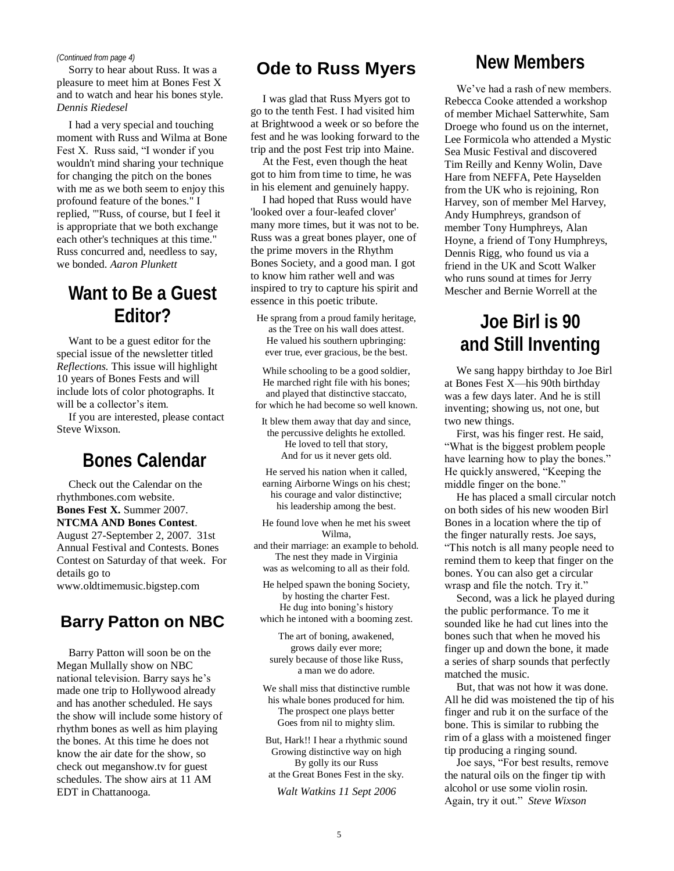#### *(Continued from page 4)*

Sorry to hear about Russ. It was a pleasure to meet him at Bones Fest X and to watch and hear his bones style. *Dennis Riedesel*

I had a very special and touching moment with Russ and Wilma at Bone Fest X. Russ said, "I wonder if you wouldn't mind sharing your technique for changing the pitch on the bones with me as we both seem to enjoy this profound feature of the bones." I replied, '"Russ, of course, but I feel it is appropriate that we both exchange each other's techniques at this time." Russ concurred and, needless to say, we bonded. *Aaron Plunkett*

#### **Want to Be a Guest Editor?**

Want to be a guest editor for the special issue of the newsletter titled *Reflections.* This issue will highlight 10 years of Bones Fests and will include lots of color photographs. It will be a collector's item.

If you are interested, please contact Steve Wixson.

## **Bones Calendar**

Check out the Calendar on the rhythmbones.com website. **Bones Fest X.** Summer 2007. **NTCMA AND Bones Contest**. August 27-September 2, 2007. 31st Annual Festival and Contests. Bones Contest on Saturday of that week. For details go to www.oldtimemusic.bigstep.com

#### **Barry Patton on NBC**

Barry Patton will soon be on the Megan Mullally show on NBC national television. Barry says he's made one trip to Hollywood already and has another scheduled. He says the show will include some history of rhythm bones as well as him playing the bones. At this time he does not know the air date for the show, so check out meganshow.tv for guest schedules. The show airs at 11 AM EDT in Chattanooga.

## **Ode to Russ Myers New Members**

I was glad that Russ Myers got to go to the tenth Fest. I had visited him at Brightwood a week or so before the fest and he was looking forward to the trip and the post Fest trip into Maine.

At the Fest, even though the heat got to him from time to time, he was in his element and genuinely happy.

I had hoped that Russ would have 'looked over a four-leafed clover' many more times, but it was not to be. Russ was a great bones player, one of the prime movers in the Rhythm Bones Society, and a good man. I got to know him rather well and was inspired to try to capture his spirit and essence in this poetic tribute.

He sprang from a proud family heritage, as the Tree on his wall does attest. He valued his southern upbringing: ever true, ever gracious, be the best.

While schooling to be a good soldier, He marched right file with his bones; and played that distinctive staccato, for which he had become so well known.

It blew them away that day and since, the percussive delights he extolled. He loved to tell that story, And for us it never gets old.

He served his nation when it called, earning Airborne Wings on his chest; his courage and valor distinctive; his leadership among the best.

He found love when he met his sweet Wilma,

and their marriage: an example to behold. The nest they made in Virginia was as welcoming to all as their fold.

He helped spawn the boning Society, by hosting the charter Fest. He dug into boning's history which he intoned with a booming zest.

The art of boning, awakened, grows daily ever more; surely because of those like Russ, a man we do adore.

We shall miss that distinctive rumble his whale bones produced for him. The prospect one plays better Goes from nil to mighty slim.

But, Hark!! I hear a rhythmic sound Growing distinctive way on high By golly its our Russ at the Great Bones Fest in the sky.

*Walt Watkins 11 Sept 2006*

We've had a rash of new members. Rebecca Cooke attended a workshop of member Michael Satterwhite, Sam Droege who found us on the internet, Lee Formicola who attended a Mystic Sea Music Festival and discovered Tim Reilly and Kenny Wolin, Dave Hare from NEFFA, Pete Hayselden from the UK who is rejoining, Ron Harvey, son of member Mel Harvey, Andy Humphreys, grandson of member Tony Humphreys, Alan Hoyne, a friend of Tony Humphreys, Dennis Rigg, who found us via a friend in the UK and Scott Walker who runs sound at times for Jerry Mescher and Bernie Worrell at the

## **Joe Birl is 90 and Still Inventing**

We sang happy birthday to Joe Birl at Bones Fest X—his 90th birthday was a few days later. And he is still inventing; showing us, not one, but two new things.

First, was his finger rest. He said, ―What is the biggest problem people have learning how to play the bones." He quickly answered, "Keeping the middle finger on the bone."

He has placed a small circular notch on both sides of his new wooden Birl Bones in a location where the tip of the finger naturally rests. Joe says, ―This notch is all many people need to remind them to keep that finger on the bones. You can also get a circular wrasp and file the notch. Try it."

Second, was a lick he played during the public performance. To me it sounded like he had cut lines into the bones such that when he moved his finger up and down the bone, it made a series of sharp sounds that perfectly matched the music.

But, that was not how it was done. All he did was moistened the tip of his finger and rub it on the surface of the bone. This is similar to rubbing the rim of a glass with a moistened finger tip producing a ringing sound.

Joe says, "For best results, remove the natural oils on the finger tip with alcohol or use some violin rosin. Again, try it out." Steve Wixson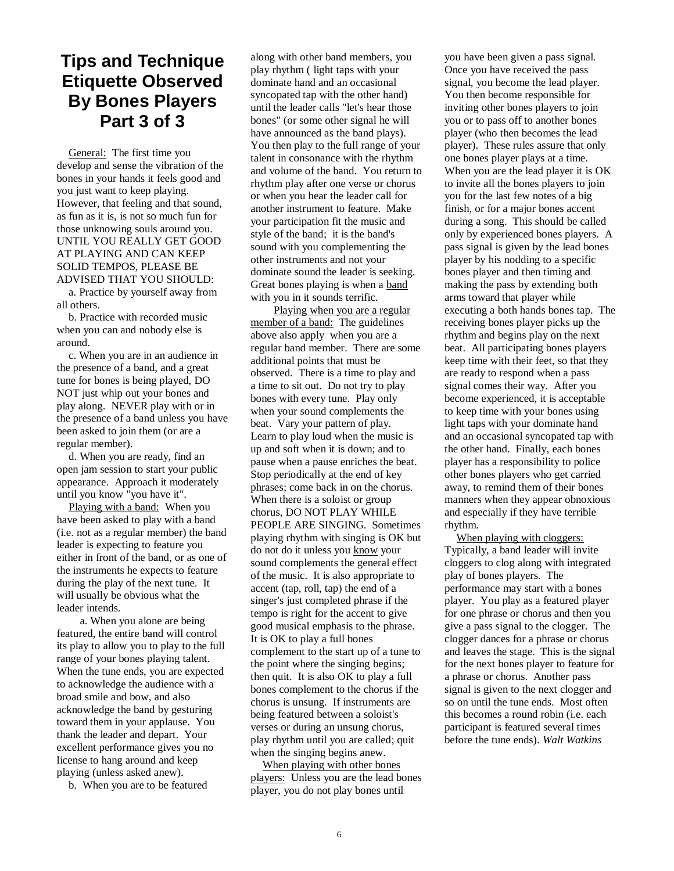#### **Tips and Technique Etiquette Observed By Bones Players Part 3 of 3**

General: The first time you develop and sense the vibration of the bones in your hands it feels good and you just want to keep playing. However, that feeling and that sound, as fun as it is, is not so much fun for those unknowing souls around you. UNTIL YOU REALLY GET GOOD AT PLAYING AND CAN KEEP SOLID TEMPOS, PLEASE BE ADVISED THAT YOU SHOULD:

a. Practice by yourself away from all others.

b. Practice with recorded music when you can and nobody else is around.

c. When you are in an audience in the presence of a band, and a great tune for bones is being played, DO NOT just whip out your bones and play along. NEVER play with or in the presence of a band unless you have been asked to join them (or are a regular member).

d. When you are ready, find an open jam session to start your public appearance. Approach it moderately until you know "you have it".

Playing with a band: When you have been asked to play with a band (i.e. not as a regular member) the band leader is expecting to feature you either in front of the band, or as one of the instruments he expects to feature during the play of the next tune. It will usually be obvious what the leader intends.

 a. When you alone are being featured, the entire band will control its play to allow you to play to the full range of your bones playing talent. When the tune ends, you are expected to acknowledge the audience with a broad smile and bow, and also acknowledge the band by gesturing toward them in your applause. You thank the leader and depart. Your excellent performance gives you no license to hang around and keep playing (unless asked anew).

b. When you are to be featured

along with other band members, you play rhythm ( light taps with your dominate hand and an occasional syncopated tap with the other hand) until the leader calls "let's hear those bones" (or some other signal he will have announced as the band plays). You then play to the full range of your talent in consonance with the rhythm and volume of the band. You return to rhythm play after one verse or chorus or when you hear the leader call for another instrument to feature. Make your participation fit the music and style of the band; it is the band's sound with you complementing the other instruments and not your dominate sound the leader is seeking. Great bones playing is when a band with you in it sounds terrific.

 Playing when you are a regular member of a band: The guidelines above also apply when you are a regular band member. There are some additional points that must be observed. There is a time to play and a time to sit out. Do not try to play bones with every tune. Play only when your sound complements the beat. Vary your pattern of play. Learn to play loud when the music is up and soft when it is down; and to pause when a pause enriches the beat. Stop periodically at the end of key phrases; come back in on the chorus. When there is a soloist or group chorus, DO NOT PLAY WHILE PEOPLE ARE SINGING. Sometimes playing rhythm with singing is OK but do not do it unless you know your sound complements the general effect of the music. It is also appropriate to accent (tap, roll, tap) the end of a singer's just completed phrase if the tempo is right for the accent to give good musical emphasis to the phrase. It is OK to play a full bones complement to the start up of a tune to the point where the singing begins; then quit. It is also OK to play a full bones complement to the chorus if the chorus is unsung. If instruments are being featured between a soloist's verses or during an unsung chorus, play rhythm until you are called; quit when the singing begins anew.

When playing with other bones players: Unless you are the lead bones player, you do not play bones until

you have been given a pass signal. Once you have received the pass signal, you become the lead player. You then become responsible for inviting other bones players to join you or to pass off to another bones player (who then becomes the lead player). These rules assure that only one bones player plays at a time. When you are the lead player it is OK to invite all the bones players to join you for the last few notes of a big finish, or for a major bones accent during a song. This should be called only by experienced bones players. A pass signal is given by the lead bones player by his nodding to a specific bones player and then timing and making the pass by extending both arms toward that player while executing a both hands bones tap. The receiving bones player picks up the rhythm and begins play on the next beat. All participating bones players keep time with their feet, so that they are ready to respond when a pass signal comes their way. After you become experienced, it is acceptable to keep time with your bones using light taps with your dominate hand and an occasional syncopated tap with the other hand. Finally, each bones player has a responsibility to police other bones players who get carried away, to remind them of their bones manners when they appear obnoxious and especially if they have terrible rhythm.

When playing with cloggers: Typically, a band leader will invite cloggers to clog along with integrated play of bones players. The performance may start with a bones player. You play as a featured player for one phrase or chorus and then you give a pass signal to the clogger. The clogger dances for a phrase or chorus and leaves the stage. This is the signal for the next bones player to feature for a phrase or chorus. Another pass signal is given to the next clogger and so on until the tune ends. Most often this becomes a round robin (i.e. each participant is featured several times before the tune ends). *Walt Watkins*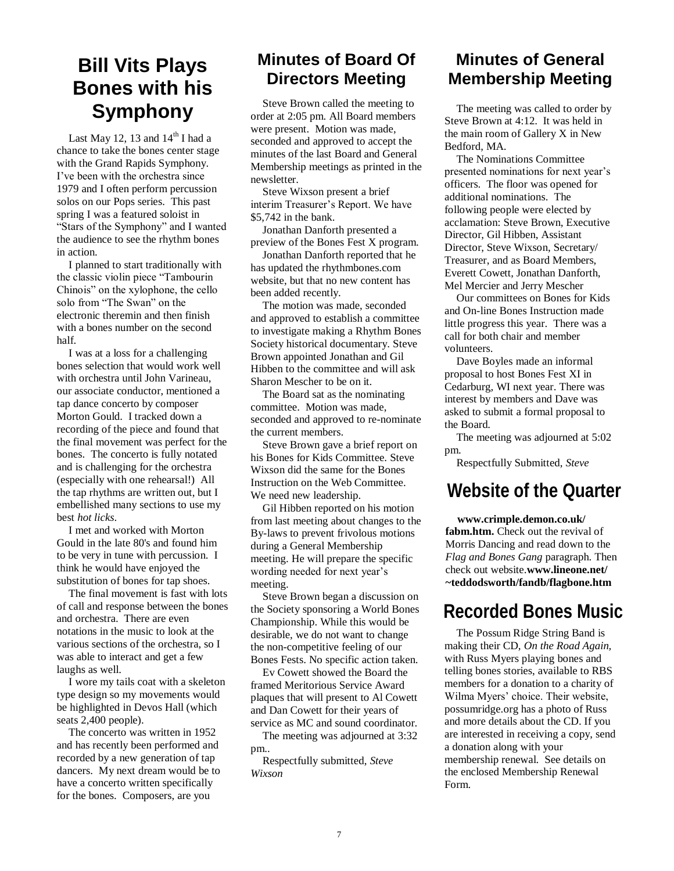## **Bill Vits Plays Bones with his Symphony**

Last May 12, 13 and  $14^{\text{th}}$  I had a chance to take the bones center stage with the Grand Rapids Symphony. I've been with the orchestra since 1979 and I often perform percussion solos on our Pops series. This past spring I was a featured soloist in "Stars of the Symphony" and I wanted the audience to see the rhythm bones in action.

I planned to start traditionally with the classic violin piece "Tambourin" Chinois" on the xylophone, the cello solo from "The Swan" on the electronic theremin and then finish with a bones number on the second half.

I was at a loss for a challenging bones selection that would work well with orchestra until John Varineau, our associate conductor, mentioned a tap dance concerto by composer Morton Gould. I tracked down a recording of the piece and found that the final movement was perfect for the bones. The concerto is fully notated and is challenging for the orchestra (especially with one rehearsal!) All the tap rhythms are written out, but I embellished many sections to use my best *hot licks*.

I met and worked with Morton Gould in the late 80's and found him to be very in tune with percussion. I think he would have enjoyed the substitution of bones for tap shoes.

The final movement is fast with lots of call and response between the bones and orchestra. There are even notations in the music to look at the various sections of the orchestra, so I was able to interact and get a few laughs as well.

I wore my tails coat with a skeleton type design so my movements would be highlighted in Devos Hall (which seats 2,400 people).

The concerto was written in 1952 and has recently been performed and recorded by a new generation of tap dancers. My next dream would be to have a concerto written specifically for the bones. Composers, are you

#### **Minutes of Board Of Directors Meeting**

Steve Brown called the meeting to order at 2:05 pm. All Board members were present. Motion was made, seconded and approved to accept the minutes of the last Board and General Membership meetings as printed in the newsletter.

Steve Wixson present a brief interim Treasurer's Report. We have \$5,742 in the bank.

Jonathan Danforth presented a preview of the Bones Fest X program.

Jonathan Danforth reported that he has updated the rhythmbones.com website, but that no new content has been added recently.

The motion was made, seconded and approved to establish a committee to investigate making a Rhythm Bones Society historical documentary. Steve Brown appointed Jonathan and Gil Hibben to the committee and will ask Sharon Mescher to be on it.

The Board sat as the nominating committee. Motion was made, seconded and approved to re-nominate the current members.

Steve Brown gave a brief report on his Bones for Kids Committee. Steve Wixson did the same for the Bones Instruction on the Web Committee. We need new leadership.

Gil Hibben reported on his motion from last meeting about changes to the By-laws to prevent frivolous motions during a General Membership meeting. He will prepare the specific wording needed for next year's meeting.

Steve Brown began a discussion on the Society sponsoring a World Bones Championship. While this would be desirable, we do not want to change the non-competitive feeling of our Bones Fests. No specific action taken.

Ev Cowett showed the Board the framed Meritorious Service Award plaques that will present to Al Cowett and Dan Cowett for their years of service as MC and sound coordinator.

The meeting was adjourned at 3:32 pm..

Respectfully submitted, *Steve Wixson*

#### **Minutes of General Membership Meeting**

The meeting was called to order by Steve Brown at 4:12. It was held in the main room of Gallery X in New Bedford, MA.

The Nominations Committee presented nominations for next year's officers. The floor was opened for additional nominations. The following people were elected by acclamation: Steve Brown, Executive Director, Gil Hibben, Assistant Director, Steve Wixson, Secretary/ Treasurer, and as Board Members, Everett Cowett, Jonathan Danforth, Mel Mercier and Jerry Mescher

Our committees on Bones for Kids and On-line Bones Instruction made little progress this year. There was a call for both chair and member volunteers.

Dave Boyles made an informal proposal to host Bones Fest XI in Cedarburg, WI next year. There was interest by members and Dave was asked to submit a formal proposal to the Board.

The meeting was adjourned at 5:02 pm.

Respectfully Submitted, *Steve* 

#### **Website of the Quarter**

**www.crimple.demon.co.uk/ fabm.htm.** Check out the revival of Morris Dancing and read down to the *Flag and Bones Gang* paragraph. Then check out website.**www.lineone.net/ ~teddodsworth/fandb/flagbone.htm**

#### **Recorded Bones Music**

The Possum Ridge String Band is making their CD, *On the Road Again,* with Russ Myers playing bones and telling bones stories, available to RBS members for a donation to a charity of Wilma Myers' choice. Their website, possumridge.org has a photo of Russ and more details about the CD. If you are interested in receiving a copy, send a donation along with your membership renewal. See details on the enclosed Membership Renewal Form.